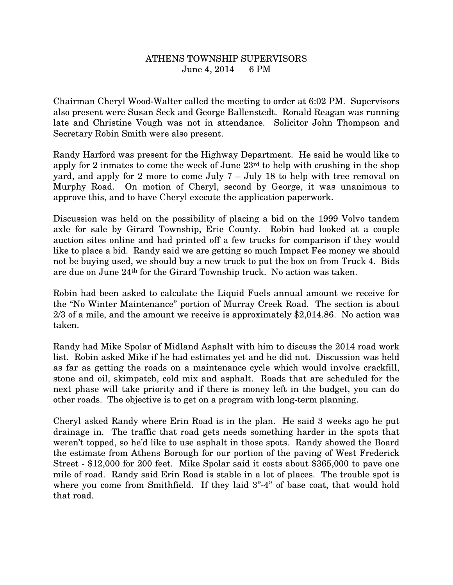## ATHENS TOWNSHIP SUPERVISORS June 4, 2014 6 PM

Chairman Cheryl Wood-Walter called the meeting to order at 6:02 PM. Supervisors also present were Susan Seck and George Ballenstedt. Ronald Reagan was running late and Christine Vough was not in attendance. Solicitor John Thompson and Secretary Robin Smith were also present.

Randy Harford was present for the Highway Department. He said he would like to apply for 2 inmates to come the week of June 23rd to help with crushing in the shop yard, and apply for 2 more to come July 7 – July 18 to help with tree removal on Murphy Road. On motion of Cheryl, second by George, it was unanimous to approve this, and to have Cheryl execute the application paperwork.

Discussion was held on the possibility of placing a bid on the 1999 Volvo tandem axle for sale by Girard Township, Erie County. Robin had looked at a couple auction sites online and had printed off a few trucks for comparison if they would like to place a bid. Randy said we are getting so much Impact Fee money we should not be buying used, we should buy a new truck to put the box on from Truck 4. Bids are due on June 24th for the Girard Township truck. No action was taken.

Robin had been asked to calculate the Liquid Fuels annual amount we receive for the "No Winter Maintenance" portion of Murray Creek Road. The section is about 2/3 of a mile, and the amount we receive is approximately \$2,014.86. No action was taken.

Randy had Mike Spolar of Midland Asphalt with him to discuss the 2014 road work list. Robin asked Mike if he had estimates yet and he did not. Discussion was held as far as getting the roads on a maintenance cycle which would involve crackfill, stone and oil, skimpatch, cold mix and asphalt. Roads that are scheduled for the next phase will take priority and if there is money left in the budget, you can do other roads. The objective is to get on a program with long-term planning.

Cheryl asked Randy where Erin Road is in the plan. He said 3 weeks ago he put drainage in. The traffic that road gets needs something harder in the spots that weren't topped, so he'd like to use asphalt in those spots. Randy showed the Board the estimate from Athens Borough for our portion of the paving of West Frederick Street - \$12,000 for 200 feet. Mike Spolar said it costs about \$365,000 to pave one mile of road. Randy said Erin Road is stable in a lot of places. The trouble spot is where you come from Smithfield. If they laid  $3"$ -4" of base coat, that would hold that road.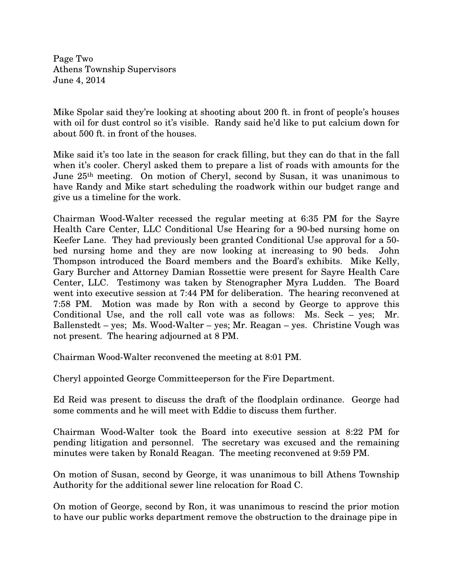Page Two Athens Township Supervisors June 4, 2014

Mike Spolar said they're looking at shooting about 200 ft. in front of people's houses with oil for dust control so it's visible. Randy said he'd like to put calcium down for about 500 ft. in front of the houses.

Mike said it's too late in the season for crack filling, but they can do that in the fall when it's cooler. Cheryl asked them to prepare a list of roads with amounts for the June 25th meeting. On motion of Cheryl, second by Susan, it was unanimous to have Randy and Mike start scheduling the roadwork within our budget range and give us a timeline for the work.

Chairman Wood-Walter recessed the regular meeting at 6:35 PM for the Sayre Health Care Center, LLC Conditional Use Hearing for a 90-bed nursing home on Keefer Lane. They had previously been granted Conditional Use approval for a 50 bed nursing home and they are now looking at increasing to 90 beds. John Thompson introduced the Board members and the Board's exhibits. Mike Kelly, Gary Burcher and Attorney Damian Rossettie were present for Sayre Health Care Center, LLC. Testimony was taken by Stenographer Myra Ludden. The Board went into executive session at 7:44 PM for deliberation. The hearing reconvened at 7:58 PM. Motion was made by Ron with a second by George to approve this Conditional Use, and the roll call vote was as follows: Ms. Seck – yes; Mr. Ballenstedt – yes; Ms. Wood-Walter – yes; Mr. Reagan – yes. Christine Vough was not present. The hearing adjourned at 8 PM.

Chairman Wood-Walter reconvened the meeting at 8:01 PM.

Cheryl appointed George Committeeperson for the Fire Department.

Ed Reid was present to discuss the draft of the floodplain ordinance. George had some comments and he will meet with Eddie to discuss them further.

Chairman Wood-Walter took the Board into executive session at 8:22 PM for pending litigation and personnel. The secretary was excused and the remaining minutes were taken by Ronald Reagan. The meeting reconvened at 9:59 PM.

On motion of Susan, second by George, it was unanimous to bill Athens Township Authority for the additional sewer line relocation for Road C.

On motion of George, second by Ron, it was unanimous to rescind the prior motion to have our public works department remove the obstruction to the drainage pipe in